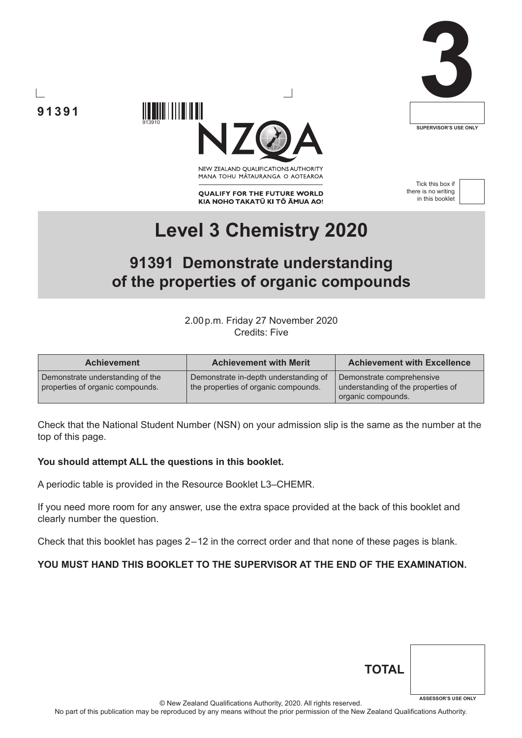

# **91391**



NEW ZEALAND OUALIFICATIONS AUTHORITY MANA TOHU MĀTAURANGA O AOTEAROA

**QUALIFY FOR THE FUTURE WORLD** KIA NOHO TAKATŪ KI TŌ ĀMUA AO!

Tick this box if there is no writing in this booklet



# **Level 3 Chemistry 2020**

## **91391 Demonstrate understanding of the properties of organic compounds**

2.00p.m. Friday 27 November 2020 Credits: Five

| <b>Achievement</b>                                                   | <b>Achievement with Merit</b>                                                 | <b>Achievement with Excellence</b>                                                    |
|----------------------------------------------------------------------|-------------------------------------------------------------------------------|---------------------------------------------------------------------------------------|
| Demonstrate understanding of the<br>properties of organic compounds. | Demonstrate in-depth understanding of<br>the properties of organic compounds. | Demonstrate comprehensive<br>understanding of the properties of<br>organic compounds. |

Check that the National Student Number (NSN) on your admission slip is the same as the number at the top of this page.

### **You should attempt ALL the questions in this booklet.**

913910

A periodic table is provided in the Resource Booklet L3–CHEMR.

If you need more room for any answer, use the extra space provided at the back of this booklet and clearly number the question.

Check that this booklet has pages 2 – 12 in the correct order and that none of these pages is blank.

### **YOU MUST HAND THIS BOOKLET TO THE SUPERVISOR AT THE END OF THE EXAMINATION.**

| <b>TOTAL</b> |                            |
|--------------|----------------------------|
|              |                            |
|              | <b>ASSESSOR'S USE ONLY</b> |

© New Zealand Qualifications Authority, 2020. All rights reserved.

No part of this publication may be reproduced by any means without the prior permission of the New Zealand Qualifications Authority.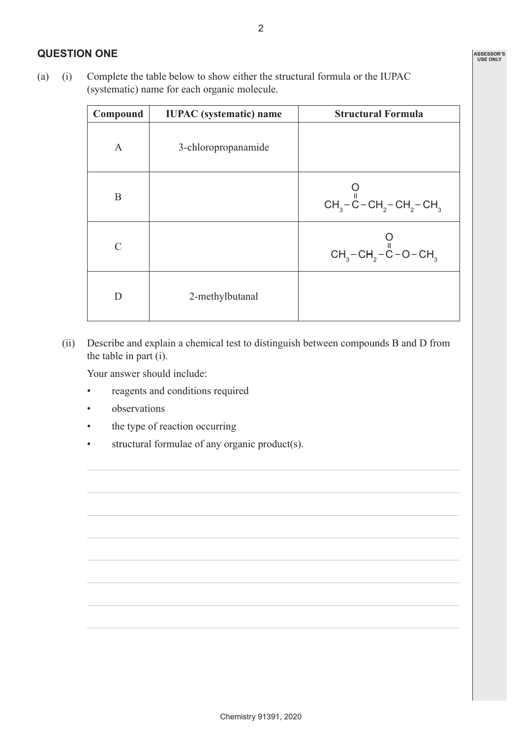### **QUESTION ONE**

(a) (i) Complete the table below to show either the structural formula or the IUPAC (systematic) name for each organic molecule.

| Compound     | <b>IUPAC</b> (systematic) name | <b>Structural Formula</b>            |
|--------------|--------------------------------|--------------------------------------|
| $\mathsf{A}$ | 3-chloropropanamide            |                                      |
| B            |                                | $CH_3-C-CH_2-CH_2-CH_3$              |
| $\subset$    |                                | $CH_3-CH_2-\overset{\vee}{C}-O-CH_3$ |
| D            | 2-methylbutanal                |                                      |

(ii) Describe and explain a chemical test to distinguish between compounds B and D from the table in part (i).

Your answer should include:

- reagents and conditions required
- observations
- the type of reaction occurring
- structural formulae of any organic product(s).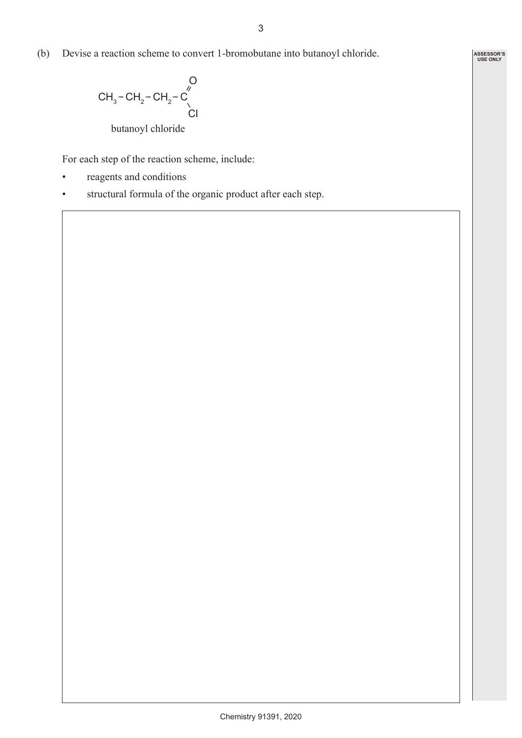**ASSESSOR'S USE ONLY**

(b) Devise a reaction scheme to convert 1-bromobutane into butanoyl chloride.

CH<sub>3</sub>-CH<sub>2</sub>-CH<sub>2</sub>-
$$
\overset{\circ}{C}
$$
  
butanoyl chloride

For each step of the reaction scheme, include:

- reagents and conditions
- structural formula of the organic product after each step.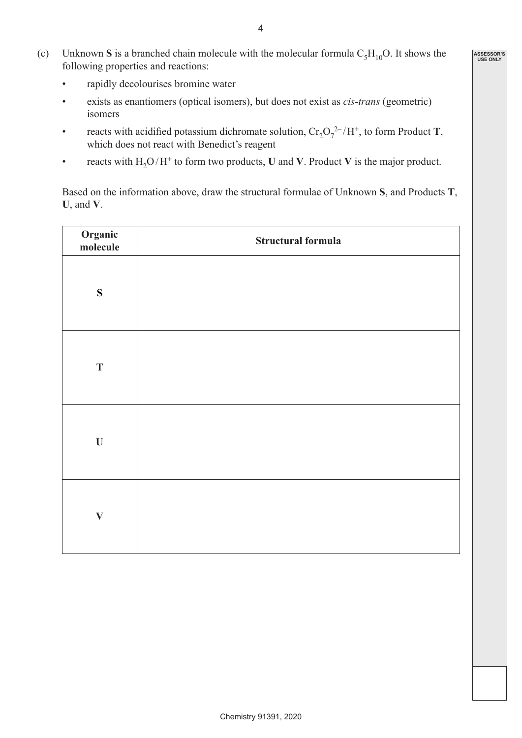- (c) Unknown **S** is a branched chain molecule with the molecular formula  $C_5H_{10}O$ . It shows the following properties and reactions:
	- rapidly decolourises bromine water
	- exists as enantiomers (optical isomers), but does not exist as *cis*-*trans* (geometric) isomers
- reacts with acidified potassium dichromate solution,  $Cr_2O_7^{2-}/H^+$ , to form Product **T**, which does not react with Benedict's reagent
	- reacts with  $H_2O/H^+$  to form two products, **U** and **V**. Product **V** is the major product.

Based on the information above, draw the structural formulae of Unknown **S**, and Products **T**, **U**, and **V**.

| Organic<br>molecule | Structural formula |
|---------------------|--------------------|
| ${\bf S}$           |                    |
| $\mathbf T$         |                    |
| $\mathbf U$         |                    |
| $\mathbf{V}$        |                    |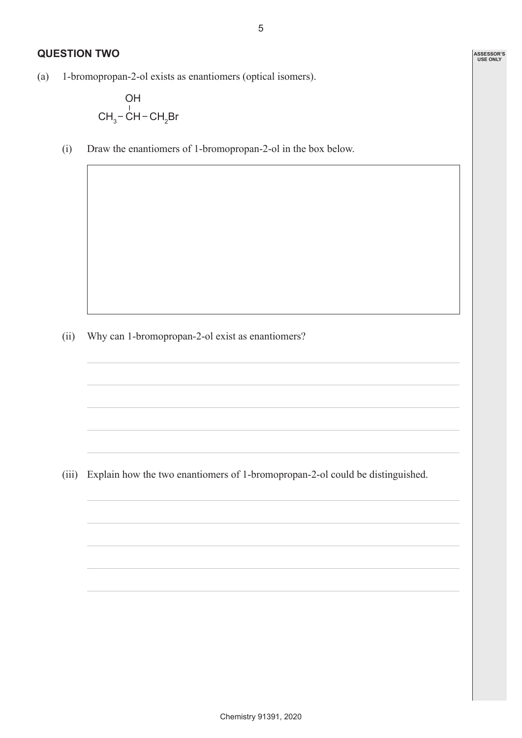**ASSESSOR'S USE ONLY**

### **QUESTION TWO**

(a) 1-bromopropan-2-ol exists as enantiomers (optical isomers).

$$
\begin{array}{c}\n\text{OH} \\
\text{CH}_3-\text{CH}-\text{CH}_2\text{Br}\n\end{array}
$$

(i) Draw the enantiomers of 1-bromopropan-2-ol in the box below.

(ii) Why can 1-bromopropan-2-ol exist as enantiomers?

(iii) Explain how the two enantiomers of 1-bromopropan-2-ol could be distinguished.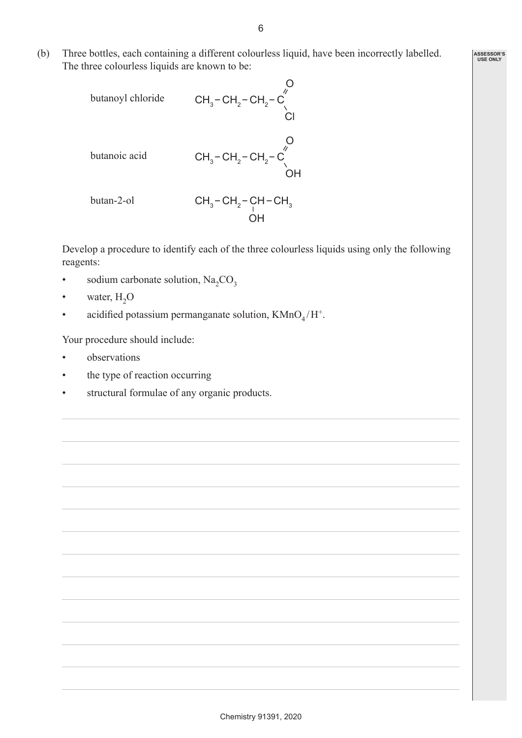(b) Three bottles, each containing a different colourless liquid, have been incorrectly labelled. The three colourless liquids are known to be:

butanoyl chloride 
$$
CH_3-CH_2-CH_2-C
$$
  
\n $CH_3-CH_2-CH_2-C$   
\n $CH_3-CH_2-CH_2-C$   
\n $OH$   
\nbutan-2-ol  $CH_3-CH_2-CH_2-CH-CH_3$ 

 $\overline{O}$ H

Develop a procedure to identify each of the three colourless liquids using only the following reagents:

- sodium carbonate solution,  $Na_2CO_3$
- water,  $H_2O$
- acidified potassium permanganate solution,  $K M n O<sub>4</sub>/H<sup>+</sup>$ .

Your procedure should include:

- observations
- the type of reaction occurring
- structural formulae of any organic products.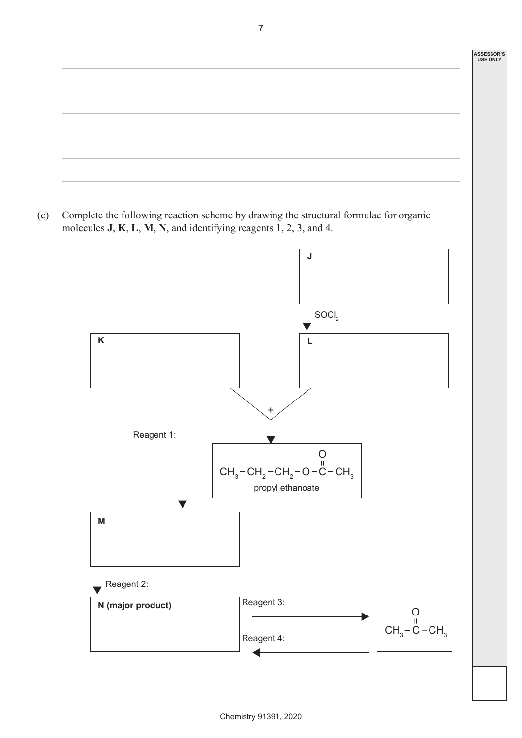# **ASSESSOR'S USE ONLY**

(c) Complete the following reaction scheme by drawing the structural formulae for organic molecules **J**, **K**, **L**, **M**, **N**, and identifying reagents 1, 2, 3, and 4.

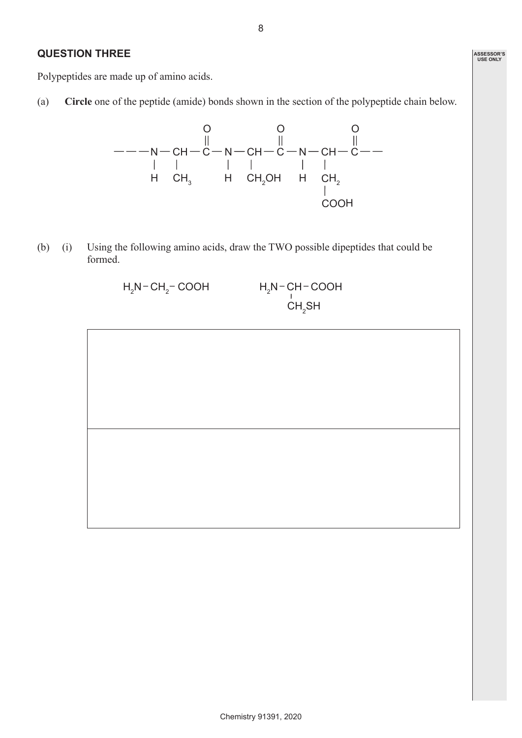### **QUESTION THREE**

Polypeptides are made up of amino acids.

(a) **Circle** one of the peptide (amide) bonds shown in the section of the polypeptide chain below.



(b) (i) Using the following amino acids, draw the TWO possible dipeptides that could be formed.

> $H_2$ N-CH<sub>2</sub>-COOH H<sub>2</sub> N-CH-COOH  $\mathsf{CH_2SH}$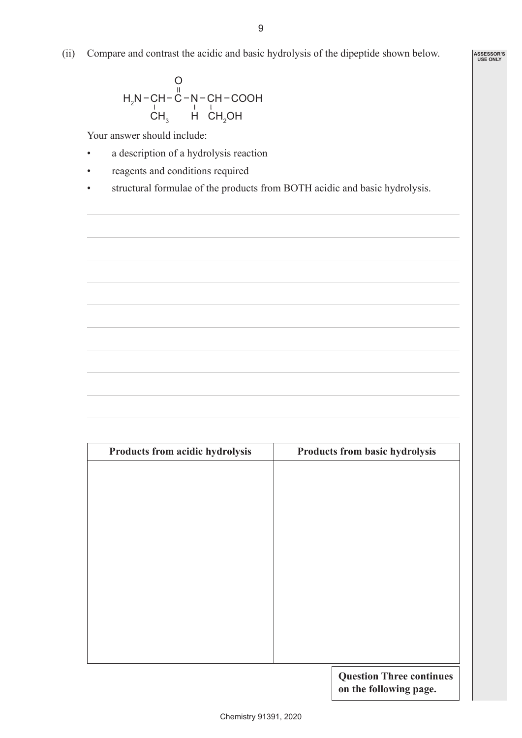(ii) Compare and contrast the acidic and basic hydrolysis of the dipeptide shown below.

$$
H_{2}N-CH-CH-C-N-CH-COOHCH_{3} H CH_{2}OH
$$

Your answer should include:

- a description of a hydrolysis reaction
- reagents and conditions required
- structural formulae of the products from BOTH acidic and basic hydrolysis.

| Products from acidic hydrolysis | Products from basic hydrolysis |
|---------------------------------|--------------------------------|
|                                 |                                |
|                                 |                                |
|                                 |                                |
|                                 |                                |
|                                 |                                |
|                                 |                                |
|                                 |                                |
|                                 |                                |
|                                 |                                |
|                                 |                                |
|                                 |                                |
|                                 | Question Three continues       |

**Question Three continues on the following page.**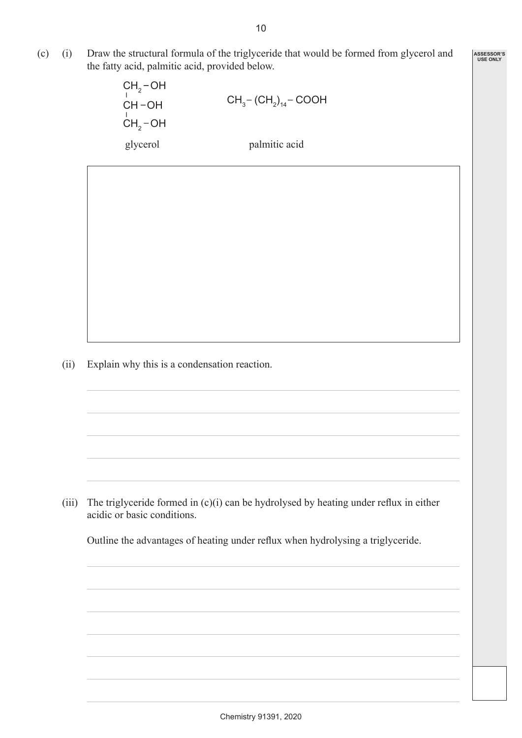(c) (i) Draw the structural formula of the triglyceride that would be formed from glycerol and the fatty acid, palmitic acid, provided below.

> $CH<sub>2</sub>$ -OH  $CH_2^-$ OH  $CH-OH$  $-$  (CH<sub>2</sub>)<sub>14</sub> – COOH glycerol palmitic acid

**ASSESSOR'S USE ONLY**

(ii) Explain why this is a condensation reaction.

(iii) The triglyceride formed in  $(c)(i)$  can be hydrolysed by heating under reflux in either acidic or basic conditions.

 Outline the advantages of heating under reflux when hydrolysing a triglyceride.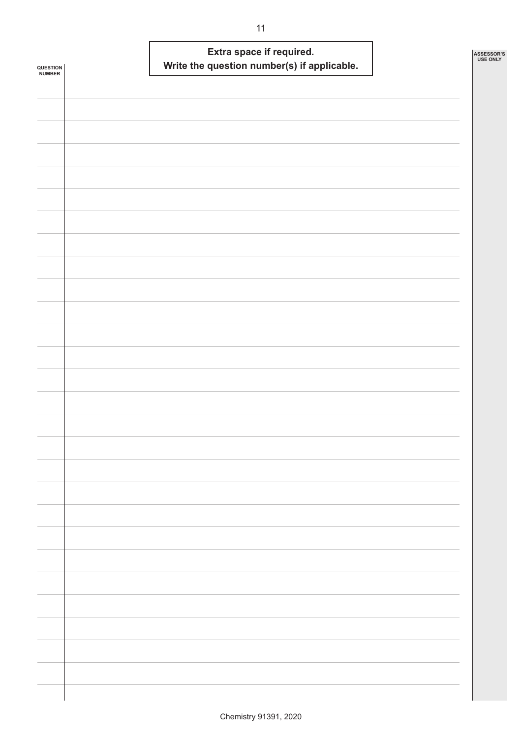| <b>QUESTION<br/>NUMBER</b> |  | Write the question number(s) if applicable. | Extra space if required. |  | ASSESSOR'S<br><b>USE ONLY</b> |
|----------------------------|--|---------------------------------------------|--------------------------|--|-------------------------------|
|                            |  |                                             |                          |  |                               |
|                            |  |                                             |                          |  |                               |
|                            |  |                                             |                          |  |                               |
|                            |  |                                             |                          |  |                               |
|                            |  |                                             |                          |  |                               |
|                            |  |                                             |                          |  |                               |
|                            |  |                                             |                          |  |                               |
|                            |  |                                             |                          |  |                               |
|                            |  |                                             |                          |  |                               |
|                            |  |                                             |                          |  |                               |
|                            |  |                                             |                          |  |                               |
|                            |  |                                             |                          |  |                               |
|                            |  |                                             |                          |  |                               |
|                            |  |                                             |                          |  |                               |
|                            |  |                                             |                          |  |                               |
|                            |  |                                             |                          |  |                               |
|                            |  |                                             |                          |  |                               |
|                            |  |                                             |                          |  |                               |
|                            |  |                                             |                          |  |                               |
|                            |  |                                             |                          |  |                               |
|                            |  |                                             |                          |  |                               |
|                            |  |                                             |                          |  |                               |
|                            |  |                                             |                          |  |                               |
|                            |  |                                             |                          |  |                               |
|                            |  |                                             |                          |  |                               |
|                            |  |                                             |                          |  |                               |
|                            |  |                                             |                          |  |                               |
|                            |  |                                             |                          |  |                               |